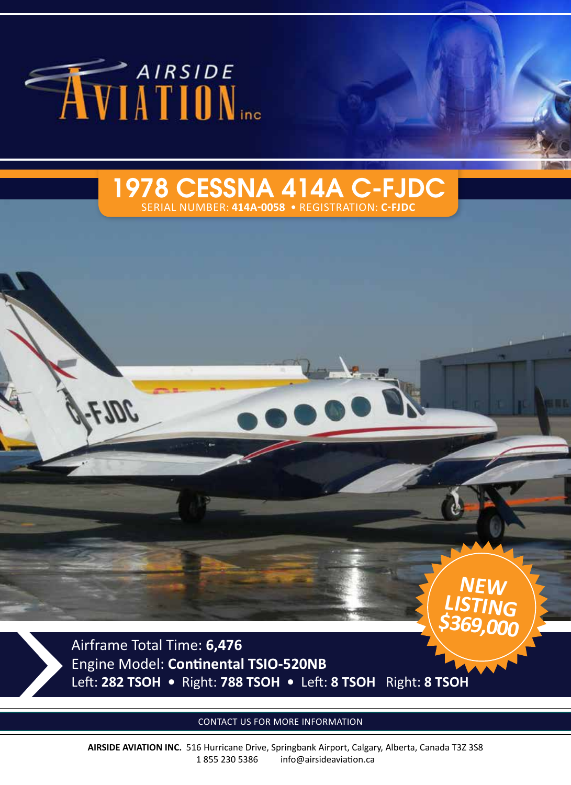

# 1978 CESSNA 414A C-FJDC

SERIAL NUMBER: **414A-0058** • REGISTRATION: **C-FJDC**

Airframe Total Time: **6,476**  Engine Model: **Continental TSIO-520NB** Left: **282 TSOH •** Right: **788 TSOH •** Left: **8 TSOH** Right: **8 TSOH**

**NEW** 

**\$369,000**

**LISTING**

CONTACT US FOR MORE INFORMATION